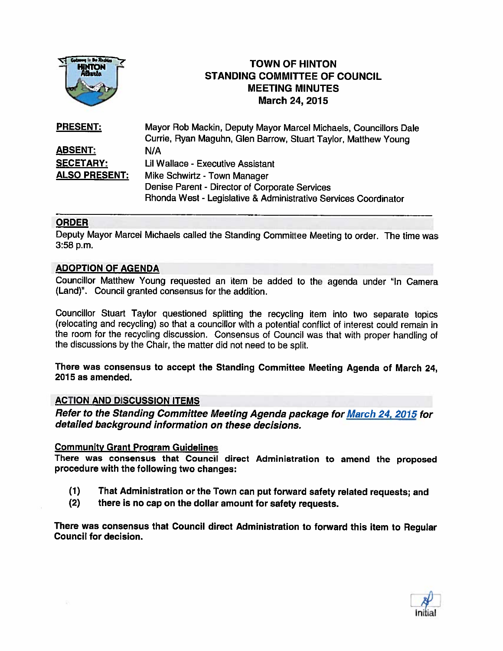

# TOWN OF HINTON STANDING COMMITTEE OF COUNCIL MEETING MINUTES March 24, 2015

| <b>PRESENT:</b>      | Mayor Rob Mackin, Deputy Mayor Marcel Michaels, Councillors Dale |
|----------------------|------------------------------------------------------------------|
|                      | Currie, Ryan Maguhn, Glen Barrow, Stuart Taylor, Matthew Young   |
| <b>ABSENT:</b>       | N/A                                                              |
| <b>SECETARY:</b>     | Lil Wallace - Executive Assistant                                |
| <b>ALSO PRESENT:</b> | Mike Schwirtz - Town Manager                                     |
|                      | Denise Parent - Director of Corporate Services                   |
|                      | Rhonda West - Legislative & Administrative Services Coordinator  |

## ORDER

Deputy Mayor Marcel Michaels called the Standing Committee Meeting to order. The time was 3:58 p.m.

## ADOPTION OF AGENDA

Councillor Matthew Young requested an item be added to the agenda under "In Camera (Land)". Council granted consensus for the addition.

Councillor Stuart Taylor questioned splitting the recycling item into two separate topics (relocating and recycling) so that <sup>a</sup> councillor with <sup>a</sup> potential conflict of interest could remain in the room for the recycling discussion. Consensus of Council was that with proper handling of the discussions by the Chair, the matter did not need to be split.

There was consensus to accept the Standing Committee Meeting Agenda of March 24, 2015 as amended.

### ACTION AND DISCUSSION ITEMS

Refer to the Standing Committee Meeting Agenda package for March 24, 2015 for detailed background information on these decisions.

### Community Grant Program Guidelines

There was consensus that Council direct Administration to amend the proposed procedure with the following two changes

- (1) That Administration or the Town can put forward safety related requests; and
- (2) there is no cap on the dollar amount for safety requests.

There was consensus that Council direct Administration to forward this item to Regular Council for decision.

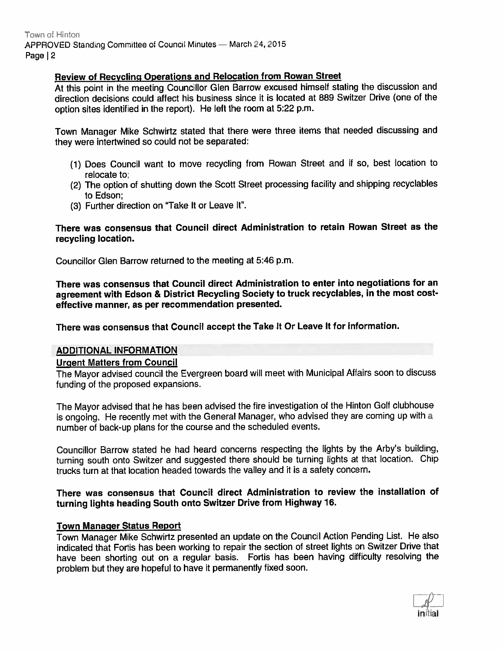Town of Hinton APPROVED Standing Committee of Council Minutes - March 24, 2015 Page | 2

### Review of Recycling Operations and Relocation from Rowan Street

At this point in the meeting Councillor Glen Barrow excused himself stating the discussion and direction decisions could affect his business since it is located at 889 Switzer Drive (one of the option sites identified in the report). He left the room at 5:22 p.m.

Town Manager Mike Schwirtz stated that there were three items that needed discussing and they were intertwined so could not be separated:

- (1) Does Council want to move recycling from Rowan Street and if so, best location to relocate to;
- (2) The option of shutting down the Scott Street processing facility and shipping recyclables to Edson;
- (3) Further direction on 'Take It or Leave It'.

### There was consensus that Council direct Administration to retain Rowan Street as the recycling location.

Councillor Glen Barrow returned to the meeting at 5:46 p.m.

There was consensus that Council direct Administration to enter into negotiations for an agreemen<sup>t</sup> with Edson & District Recycling Society to truck recyclables, in the most costeffective manner, as per recommendation presented.

There was consensus that Council accep<sup>t</sup> the Take It Or Leave It for information.

### ADDITIONAL INFORMATION

### Urgent Matters from Council

The Mayor advised council the Evergreen board will meet with Municipal Affairs soon to discuss funding of the proposed expansions.

The Mayor advised that he has been advised the fire investigation of the Hinton Golf clubhouse is ongoing. He recently met with the General Manager, who advised they are coming up with <sup>a</sup> number of back-up <sup>p</sup>lans for the course and the scheduled events.

Councillor Barrow stated he had heard concerns respecting the lights by the Arby's building. turning south onto Switzer and suggested there should be turning lights at that location. Chip trucks turn at that location headed towards the valley and it is <sup>a</sup> safety concern.

### There was consensus that Council direct Administration to review the installation of turning lights heading South onto Switzer Drive from Highway 16.

### Town Manager Status Report

Town Manager Mike Schwirtz presented an update on the Council Action Pending List. He also indicated that Fortis has been working to repair the section of street lights on Switzer Drive that have been shorting out on <sup>a</sup> regular basis, Fortis has been having difficulty resolving the problem but they are hopeful to have it permanently fixed soon.